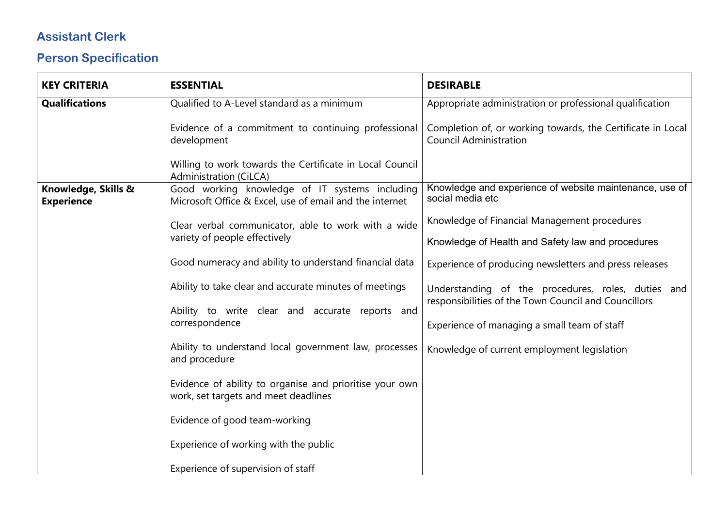## **Assistant Clerk**

## **Person Specification**

| <b>KEY CRITERIA</b>                      | <b>ESSENTIAL</b>                                                                                          | <b>DESIRABLE</b>                                                                                           |
|------------------------------------------|-----------------------------------------------------------------------------------------------------------|------------------------------------------------------------------------------------------------------------|
| <b>Qualifications</b>                    | Qualified to A-Level standard as a minimum                                                                | Appropriate administration or professional qualification                                                   |
|                                          | Evidence of a commitment to continuing professional<br>development                                        | Completion of, or working towards, the Certificate in Local<br><b>Council Administration</b>               |
|                                          | Willing to work towards the Certificate in Local Council<br>Administration (CiLCA)                        |                                                                                                            |
| Knowledge, Skills &<br><b>Experience</b> | Good working knowledge of IT systems including<br>Microsoft Office & Excel, use of email and the internet | Knowledge and experience of website maintenance, use of<br>social media etc                                |
|                                          | Clear verbal communicator, able to work with a wide<br>variety of people effectively                      | Knowledge of Financial Management procedures                                                               |
|                                          |                                                                                                           | Knowledge of Health and Safety law and procedures                                                          |
|                                          | Good numeracy and ability to understand financial data                                                    | Experience of producing newsletters and press releases                                                     |
|                                          | Ability to take clear and accurate minutes of meetings                                                    | Understanding of the procedures, roles, duties and<br>responsibilities of the Town Council and Councillors |
|                                          | Ability to write clear and accurate reports and<br>correspondence                                         | Experience of managing a small team of staff                                                               |
|                                          | Ability to understand local government law, processes<br>and procedure                                    | Knowledge of current employment legislation                                                                |
|                                          | Evidence of ability to organise and prioritise your own<br>work, set targets and meet deadlines           |                                                                                                            |
|                                          | Evidence of good team-working                                                                             |                                                                                                            |
|                                          | Experience of working with the public                                                                     |                                                                                                            |
|                                          | Experience of supervision of staff                                                                        |                                                                                                            |